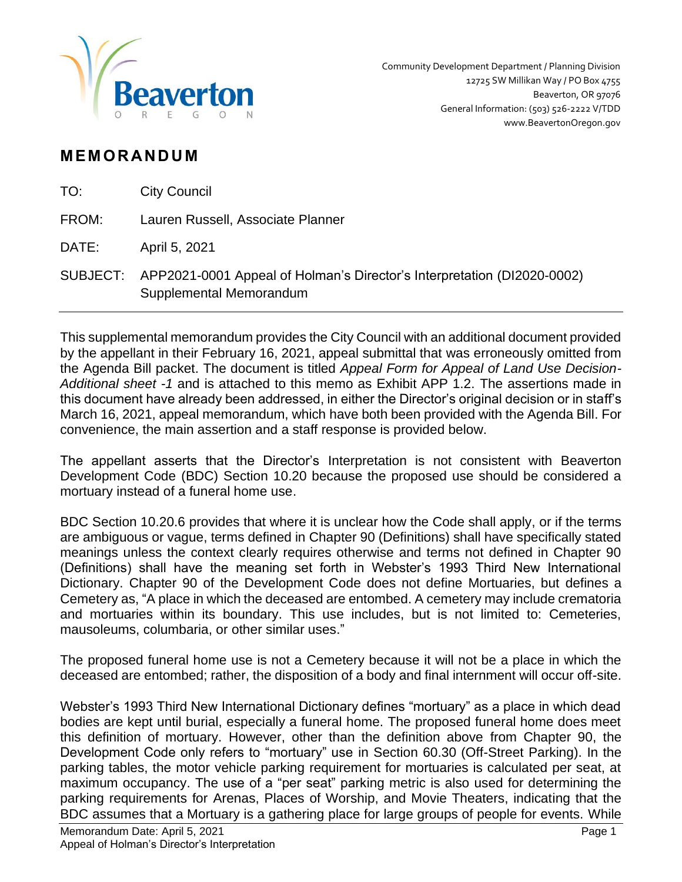

# **M EM OR AN D U M**

| TO:   | <b>City Council</b>                                                                                         |
|-------|-------------------------------------------------------------------------------------------------------------|
| FROM: | Lauren Russell, Associate Planner                                                                           |
| DATE: | April 5, 2021                                                                                               |
|       | SUBJECT: APP2021-0001 Appeal of Holman's Director's Interpretation (DI2020-0002)<br>Supplemental Memorandum |

This supplemental memorandum provides the City Council with an additional document provided by the appellant in their February 16, 2021, appeal submittal that was erroneously omitted from the Agenda Bill packet. The document is titled *Appeal Form for Appeal of Land Use Decision-Additional sheet -1* and is attached to this memo as Exhibit APP 1.2. The assertions made in this document have already been addressed, in either the Director's original decision or in staff's March 16, 2021, appeal memorandum, which have both been provided with the Agenda Bill. For convenience, the main assertion and a staff response is provided below.

The appellant asserts that the Director's Interpretation is not consistent with Beaverton Development Code (BDC) Section 10.20 because the proposed use should be considered a mortuary instead of a funeral home use.

BDC Section 10.20.6 provides that where it is unclear how the Code shall apply, or if the terms are ambiguous or vague, terms defined in Chapter 90 (Definitions) shall have specifically stated meanings unless the context clearly requires otherwise and terms not defined in Chapter 90 (Definitions) shall have the meaning set forth in Webster's 1993 Third New International Dictionary. Chapter 90 of the Development Code does not define Mortuaries, but defines a Cemetery as, "A place in which the deceased are entombed. A cemetery may include crematoria and mortuaries within its boundary. This use includes, but is not limited to: Cemeteries, mausoleums, columbaria, or other similar uses."

The proposed funeral home use is not a Cemetery because it will not be a place in which the deceased are entombed; rather, the disposition of a body and final internment will occur off-site.

Webster's 1993 Third New International Dictionary defines "mortuary" as a place in which dead bodies are kept until burial, especially a funeral home. The proposed funeral home does meet this definition of mortuary. However, other than the definition above from Chapter 90, the Development Code only refers to "mortuary" use in Section 60.30 (Off-Street Parking). In the parking tables, the motor vehicle parking requirement for mortuaries is calculated per seat, at maximum occupancy. The use of a "per seat" parking metric is also used for determining the parking requirements for Arenas, Places of Worship, and Movie Theaters, indicating that the BDC assumes that a Mortuary is a gathering place for large groups of people for events. While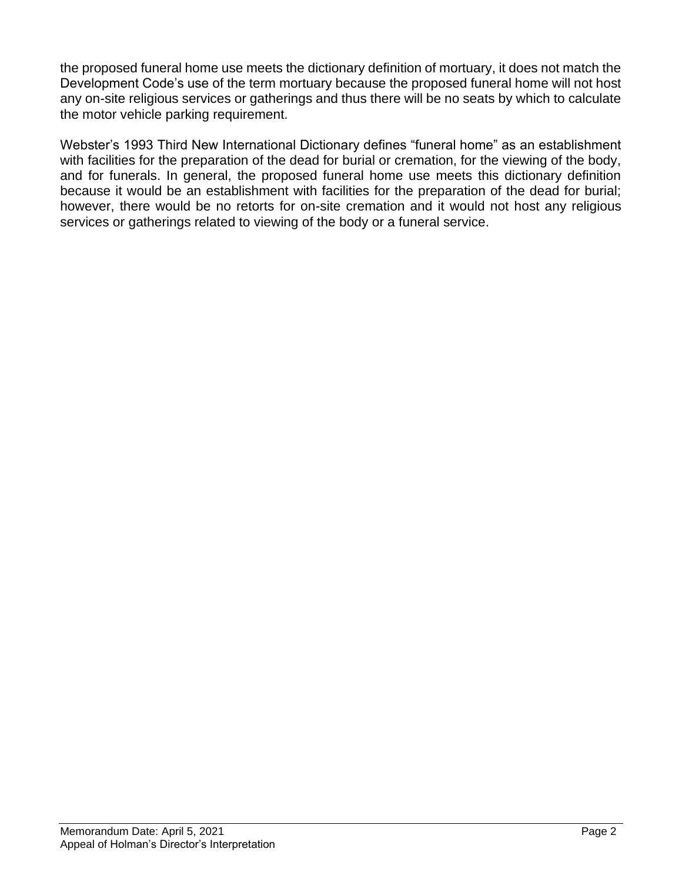the proposed funeral home use meets the dictionary definition of mortuary, it does not match the Development Code's use of the term mortuary because the proposed funeral home will not host any on-site religious services or gatherings and thus there will be no seats by which to calculate the motor vehicle parking requirement.

Webster's 1993 Third New International Dictionary defines "funeral home" as an establishment with facilities for the preparation of the dead for burial or cremation, for the viewing of the body, and for funerals. In general, the proposed funeral home use meets this dictionary definition because it would be an establishment with facilities for the preparation of the dead for burial; however, there would be no retorts for on-site cremation and it would not host any religious services or gatherings related to viewing of the body or a funeral service.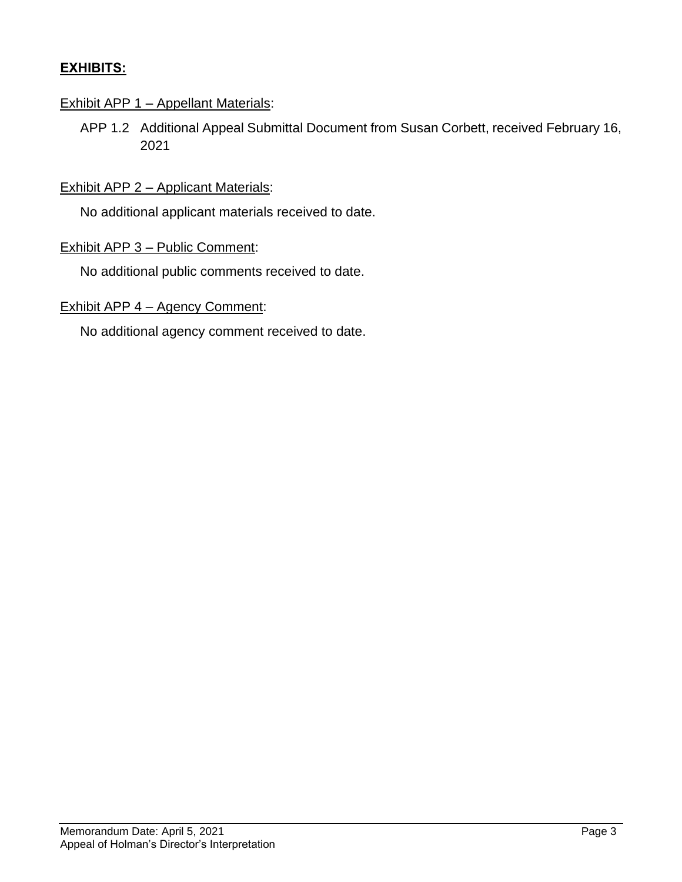# **EXHIBITS:**

### Exhibit APP 1 – Appellant Materials:

APP 1.2 Additional Appeal Submittal Document from Susan Corbett, received February 16, 2021

#### Exhibit APP 2 - Applicant Materials:

No additional applicant materials received to date.

#### Exhibit APP 3 – Public Comment:

No additional public comments received to date.

#### Exhibit APP 4 – Agency Comment:

No additional agency comment received to date.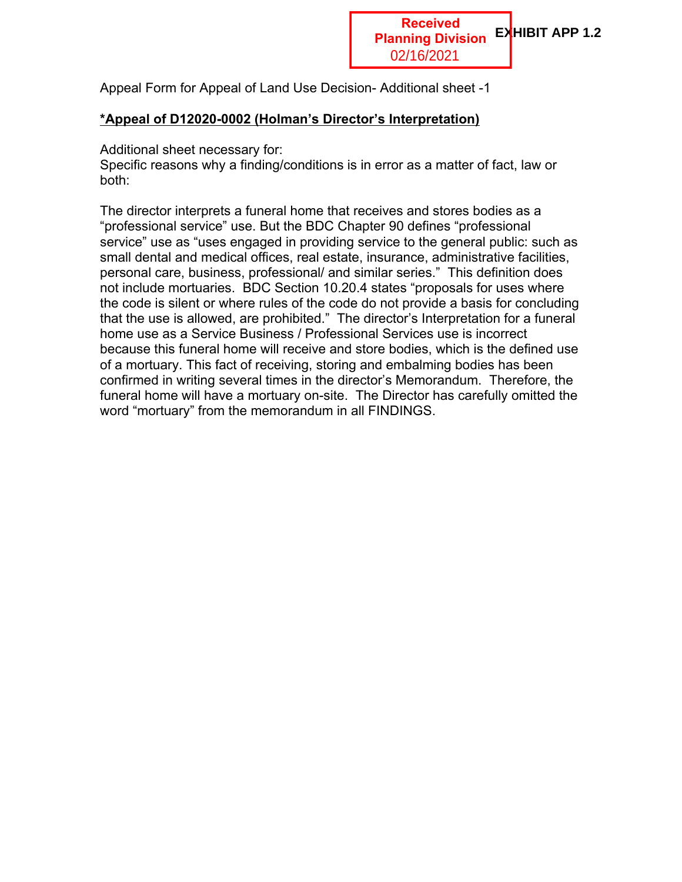Appeal Form for Appeal of Land Use Decision- Additional sheet -1

# **\*Appeal of D12020-0002 (Holman's Director's Interpretation)**

Additional sheet necessary for:

Specific reasons why a finding/conditions is in error as a matter of fact, law or both:

The director interprets a funeral home that receives and stores bodies as a "professional service" use. But the BDC Chapter 90 defines "professional service" use as "uses engaged in providing service to the general public: such as small dental and medical offices, real estate, insurance, administrative facilities, personal care, business, professional/ and similar series." This definition does not include mortuaries. BDC Section 10.20.4 states "proposals for uses where the code is silent or where rules of the code do not provide a basis for concluding that the use is allowed, are prohibited." The director's Interpretation for a funeral home use as a Service Business / Professional Services use is incorrect because this funeral home will receive and store bodies, which is the defined use of a mortuary. This fact of receiving, storing and embalming bodies has been confirmed in writing several times in the director's Memorandum. Therefore, the funeral home will have a mortuary on-site. The Director has carefully omitted the word "mortuary" from the memorandum in all FINDINGS.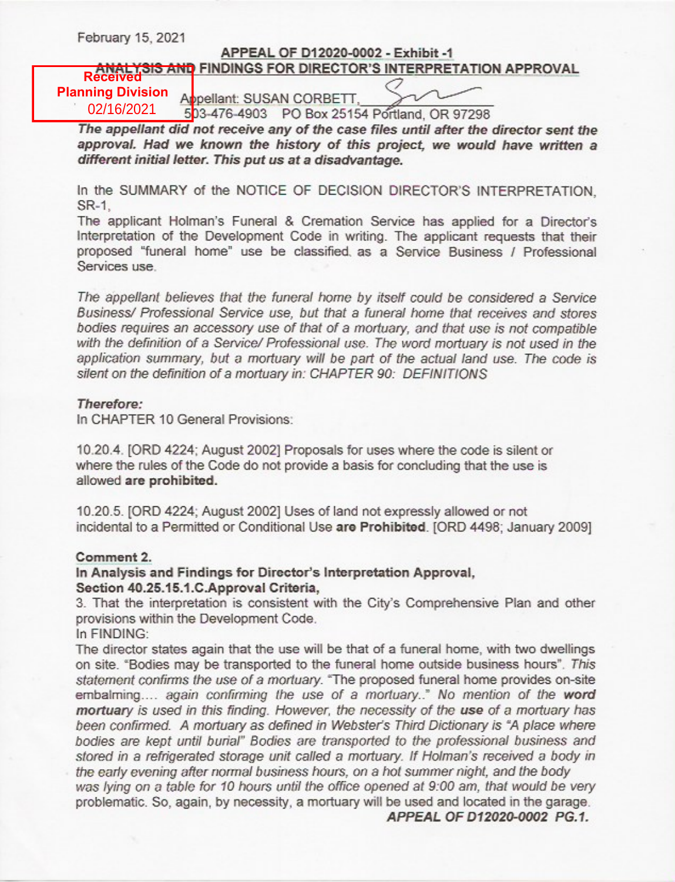February 15, 2021

# APPEAL OF D12020-0002 - Exhibit -1 ANALYSIS AND FINDINGS FOR DIRECTOR'S INTERPRETATION APPROVAL

**Planning Division** 02/16/2021

Appellant: SUSAN CORBETT,

503-476-4903 PO Box 25154 Portland, OR 97298

The appellant did not receive any of the case files until after the director sent the approval. Had we known the history of this project, we would have written a different initial letter. This put us at a disadvantage.

In the SUMMARY of the NOTICE OF DECISION DIRECTOR'S INTERPRETATION. SR-1.

The applicant Holman's Funeral & Cremation Service has applied for a Director's Interpretation of the Development Code in writing. The applicant requests that their proposed "funeral home" use be classified as a Service Business / Professional Services use.

The appellant believes that the funeral home by itself could be considered a Service Business/ Professional Service use, but that a funeral home that receives and stores bodies requires an accessory use of that of a mortuary, and that use is not compatible with the definition of a Service/ Professional use. The word mortuary is not used in the application summary, but a mortuary will be part of the actual land use. The code is silent on the definition of a mortuary in: CHAPTER 90: DEFINITIONS

#### Therefore:

In CHAPTER 10 General Provisions:

10.20.4. [ORD 4224; August 2002] Proposals for uses where the code is silent or where the rules of the Code do not provide a basis for concluding that the use is allowed are prohibited.

10.20.5. [ORD 4224; August 2002] Uses of land not expressly allowed or not incidental to a Permitted or Conditional Use are Prohibited. [ORD 4498; January 2009]

#### Comment 2.

#### In Analysis and Findings for Director's Interpretation Approval, Section 40.25.15.1.C.Approval Criteria.

3. That the interpretation is consistent with the City's Comprehensive Plan and other provisions within the Development Code.

In FINDING:

The director states again that the use will be that of a funeral home, with two dwellings on site. "Bodies may be transported to the funeral home outside business hours". This statement confirms the use of a mortuary. "The proposed funeral home provides on-site embalming.... again confirming the use of a mortuary.." No mention of the word mortuary is used in this finding. However, the necessity of the use of a mortuary has been confirmed. A mortuary as defined in Webster's Third Dictionary is "A place where bodies are kept until burial" Bodies are transported to the professional business and stored in a refrigerated storage unit called a mortuary. If Holman's received a body in the early evening after normal business hours, on a hot summer night, and the body was lying on a table for 10 hours until the office opened at 9:00 am, that would be very problematic. So, again, by necessity, a mortuary will be used and located in the garage.

APPEAL OF D12020-0002 PG.1.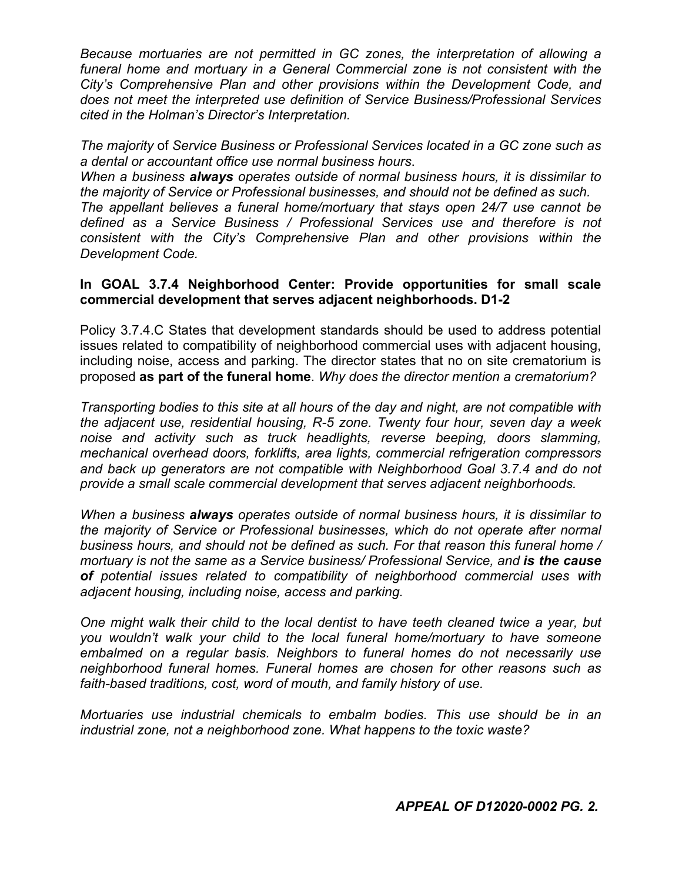*Because mortuaries are not permitted in GC zones, the interpretation of allowing a funeral home and mortuary in a General Commercial zone is not consistent with the City's Comprehensive Plan and other provisions within the Development Code, and does not meet the interpreted use definition of Service Business/Professional Services cited in the Holman's Director's Interpretation.* 

*The majority* of *Service Business or Professional Services located in a GC zone such as a dental or accountant office use normal business hours*.

*When a business always operates outside of normal business hours, it is dissimilar to the majority of Service or Professional businesses, and should not be defined as such.*

*The appellant believes a funeral home/mortuary that stays open 24/7 use cannot be defined as a Service Business / Professional Services use and therefore is not consistent with the City's Comprehensive Plan and other provisions within the Development Code.*

#### **In GOAL 3.7.4 Neighborhood Center: Provide opportunities for small scale commercial development that serves adjacent neighborhoods. D1-2**

Policy 3.7.4.C States that development standards should be used to address potential issues related to compatibility of neighborhood commercial uses with adjacent housing, including noise, access and parking. The director states that no on site crematorium is proposed **as part of the funeral home**. *Why does the director mention a crematorium?*

*Transporting bodies to this site at all hours of the day and night, are not compatible with the adjacent use, residential housing, R-5 zone. Twenty four hour, seven day a week noise and activity such as truck headlights, reverse beeping, doors slamming, mechanical overhead doors, forklifts, area lights, commercial refrigeration compressors and back up generators are not compatible with Neighborhood Goal 3.7.4 and do not provide a small scale commercial development that serves adjacent neighborhoods.*

*When a business always operates outside of normal business hours, it is dissimilar to the majority of Service or Professional businesses, which do not operate after normal business hours, and should not be defined as such. For that reason this funeral home / mortuary is not the same as a Service business/ Professional Service, and is the cause of potential issues related to compatibility of neighborhood commercial uses with adjacent housing, including noise, access and parking.*

*One might walk their child to the local dentist to have teeth cleaned twice a year, but you wouldn't walk your child to the local funeral home/mortuary to have someone embalmed on a regular basis. Neighbors to funeral homes do not necessarily use neighborhood funeral homes. Funeral homes are chosen for other reasons such as faith-based traditions, cost, word of mouth, and family history of use.*

*Mortuaries use industrial chemicals to embalm bodies. This use should be in an industrial zone, not a neighborhood zone. What happens to the toxic waste?*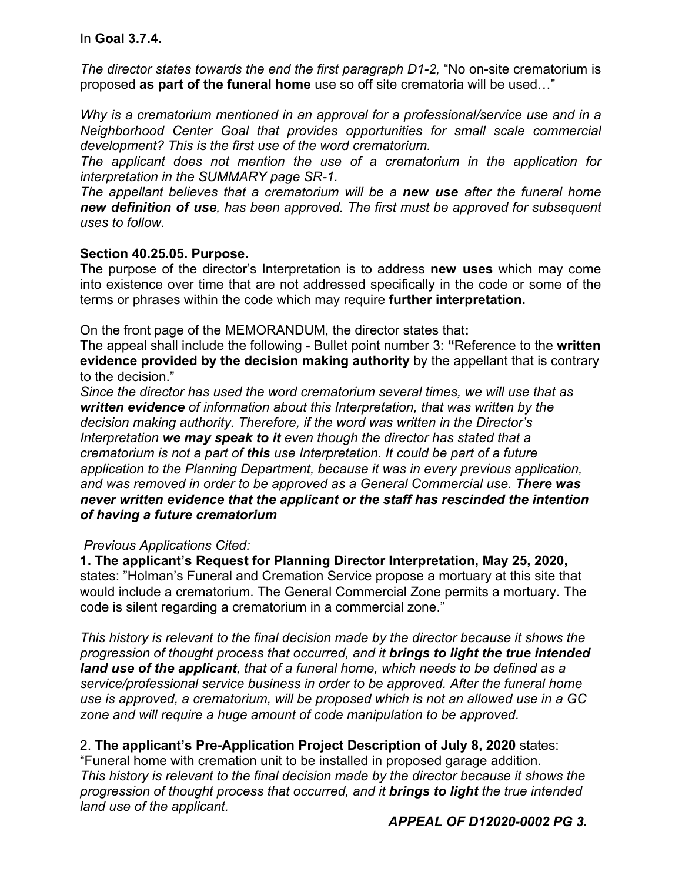### In **Goal 3.7.4.**

*The director states towards the end the first paragraph D1-2, "No on-site crematorium is* proposed **as part of the funeral home** use so off site crematoria will be used…"

*Why is a crematorium mentioned in an approval for a professional/service use and in a Neighborhood Center Goal that provides opportunities for small scale commercial development? This is the first use of the word crematorium.* 

*The applicant does not mention the use of a crematorium in the application for interpretation in the SUMMARY page SR-1.*

*The appellant believes that a crematorium will be a new use after the funeral home new definition of use, has been approved. The first must be approved for subsequent uses to follow.*

#### **Section 40.25.05. Purpose.**

The purpose of the director's Interpretation is to address **new uses** which may come into existence over time that are not addressed specifically in the code or some of the terms or phrases within the code which may require **further interpretation.**

On the front page of the MEMORANDUM, the director states that**:**

The appeal shall include the following - Bullet point number 3: **"**Reference to the **written evidence provided by the decision making authority** by the appellant that is contrary to the decision."

*Since the director has used the word crematorium several times, we will use that as written evidence of information about this Interpretation, that was written by the decision making authority. Therefore, if the word was written in the Director's Interpretation we may speak to it even though the director has stated that a crematorium is not a part of this use Interpretation. It could be part of a future application to the Planning Department, because it was in every previous application, and was removed in order to be approved as a General Commercial use. There was never written evidence that the applicant or the staff has rescinded the intention of having a future crematorium*

#### *Previous Applications Cited:*

**1. The applicant's Request for Planning Director Interpretation, May 25, 2020,** states: "Holman's Funeral and Cremation Service propose a mortuary at this site that would include a crematorium. The General Commercial Zone permits a mortuary. The code is silent regarding a crematorium in a commercial zone."

*This history is relevant to the final decision made by the director because it shows the progression of thought process that occurred, and it brings to light the true intended land use of the applicant, that of a funeral home, which needs to be defined as a service/professional service business in order to be approved. After the funeral home use is approved, a crematorium, will be proposed which is not an allowed use in a GC zone and will require a huge amount of code manipulation to be approved.*

#### 2. **The applicant's Pre-Application Project Description of July 8, 2020** states:

"Funeral home with cremation unit to be installed in proposed garage addition. *This history is relevant to the final decision made by the director because it shows the progression of thought process that occurred, and it brings to light the true intended land use of the applicant.*

*APPEAL OF D12020-0002 PG 3.*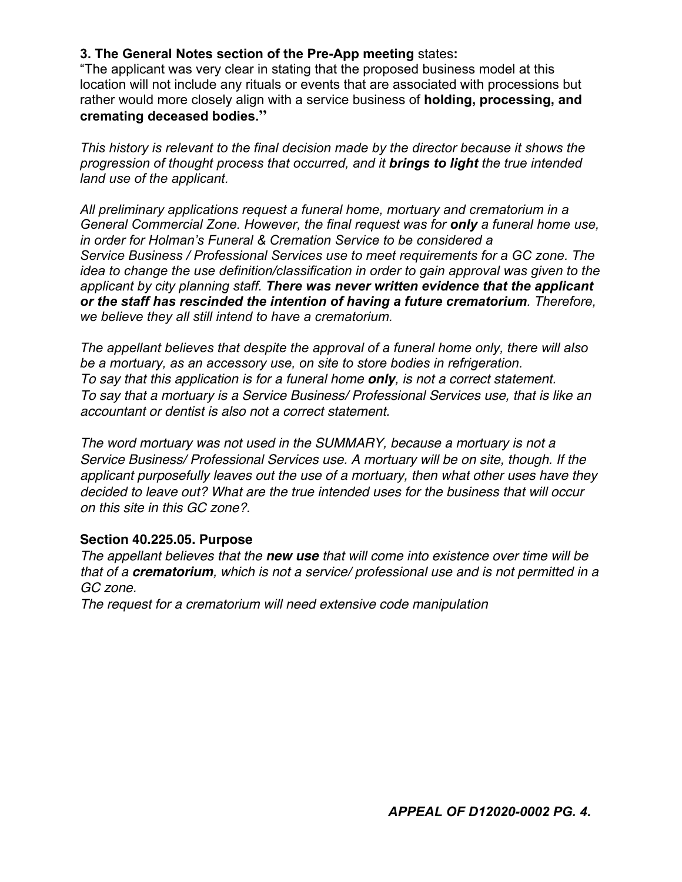### **3. The General Notes section of the Pre-App meeting** states**:**

"The applicant was very clear in stating that the proposed business model at this location will not include any rituals or events that are associated with processions but rather would more closely align with a service business of **holding, processing, and cremating deceased bodies."**

*This history is relevant to the final decision made by the director because it shows the progression of thought process that occurred, and it brings to light the true intended land use of the applicant.*

*All preliminary applications request a funeral home, mortuary and crematorium in a General Commercial Zone. However, the final request was for only a funeral home use, in order for Holman's Funeral & Cremation Service to be considered a Service Business / Professional Services use to meet requirements for a GC zone. The idea to change the use definition/classification in order to gain approval was given to the applicant by city planning staff. There was never written evidence that the applicant or the staff has rescinded the intention of having a future crematorium. Therefore, we believe they all still intend to have a crematorium.*

*The appellant believes that despite the approval of a funeral home only, there will also be a mortuary, as an accessory use, on site to store bodies in refrigeration. To say that this application is for a funeral home only, is not a correct statement. To say that a mortuary is a Service Business/ Professional Services use, that is like an accountant or dentist is also not a correct statement.*

*The word mortuary was not used in the SUMMARY, because a mortuary is not a Service Business/ Professional Services use. A mortuary will be on site, though. If the applicant purposefully leaves out the use of a mortuary, then what other uses have they decided to leave out? What are the true intended uses for the business that will occur on this site in this GC zone?.*

#### **Section 40.225.05. Purpose**

*The appellant believes that the new use that will come into existence over time will be that of a crematorium, which is not a service/ professional use and is not permitted in a GC zone.*

*The request for a crematorium will need extensive code manipulation*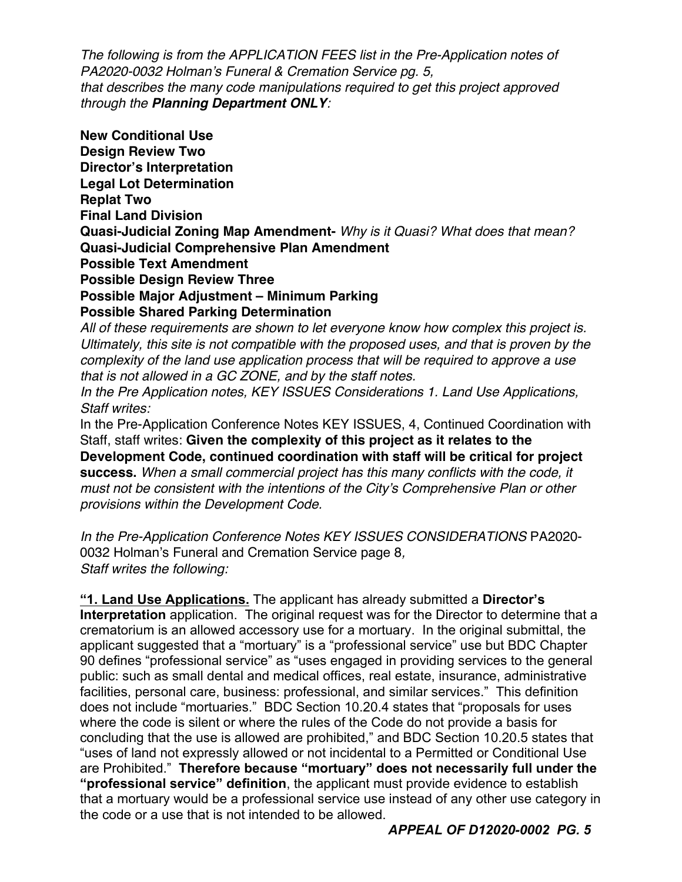*The following is from the APPLICATION FEES list in the Pre-Application notes of PA2020-0032 Holman's Funeral & Cremation Service pg. 5, that describes the many code manipulations required to get this project approved through the Planning Department ONLY:*

**New Conditional Use Design Review Two Director's Interpretation Legal Lot Determination Replat Two Final Land Division Quasi-Judicial Zoning Map Amendment-** *Why is it Quasi? What does that mean?* **Quasi-Judicial Comprehensive Plan Amendment Possible Text Amendment Possible Design Review Three Possible Major Adjustment – Minimum Parking Possible Shared Parking Determination**

*All of these requirements are shown to let everyone know how complex this project is. Ultimately, this site is not compatible with the proposed uses, and that is proven by the complexity of the land use application process that will be required to approve a use that is not allowed in a GC ZONE, and by the staff notes.*

*In the Pre Application notes, KEY ISSUES Considerations 1. Land Use Applications, Staff writes:*

In the Pre-Application Conference Notes KEY ISSUES, 4, Continued Coordination with Staff, staff writes: **Given the complexity of this project as it relates to the Development Code, continued coordination with staff will be critical for project success.** *When a small commercial project has this many conflicts with the code, it must not be consistent with the intentions of the City's Comprehensive Plan or other provisions within the Development Code.*

*In the Pre-Application Conference Notes KEY ISSUES CONSIDERATIONS* PA2020- 0032 Holman's Funeral and Cremation Service page 8*, Staff writes the following:*

**"1. Land Use Applications.** The applicant has already submitted a **Director's Interpretation** application. The original request was for the Director to determine that a crematorium is an allowed accessory use for a mortuary. In the original submittal, the applicant suggested that a "mortuary" is a "professional service" use but BDC Chapter 90 defines "professional service" as "uses engaged in providing services to the general public: such as small dental and medical offices, real estate, insurance, administrative facilities, personal care, business: professional, and similar services." This definition does not include "mortuaries." BDC Section 10.20.4 states that "proposals for uses where the code is silent or where the rules of the Code do not provide a basis for concluding that the use is allowed are prohibited," and BDC Section 10.20.5 states that "uses of land not expressly allowed or not incidental to a Permitted or Conditional Use are Prohibited." **Therefore because "mortuary" does not necessarily full under the "professional service" definition**, the applicant must provide evidence to establish that a mortuary would be a professional service use instead of any other use category in the code or a use that is not intended to be allowed.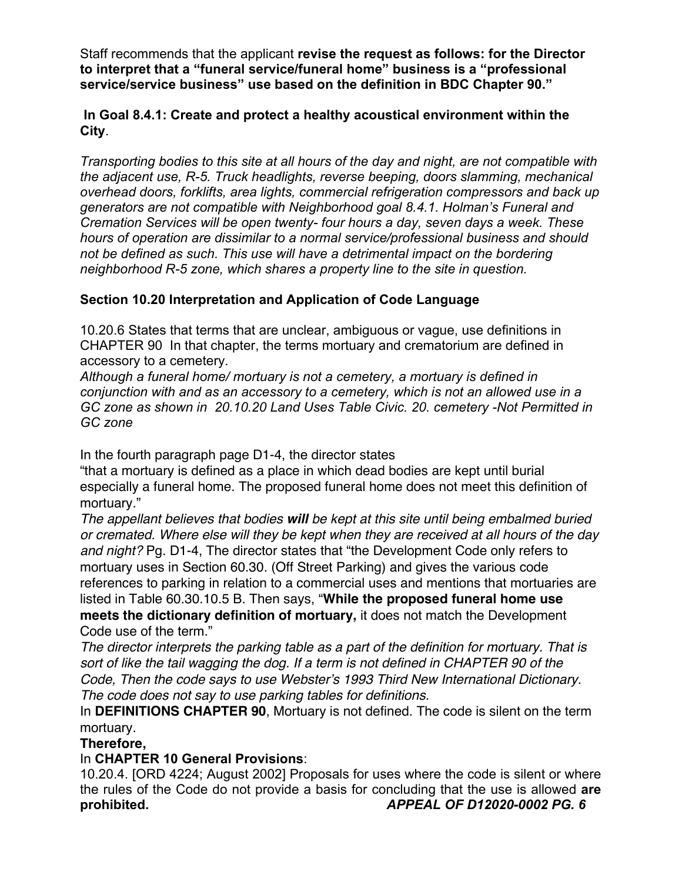Staff recommends that the applicant **revise the request as follows: for the Director to interpret that a "funeral service/funeral home" business is a "professional service/service business" use based on the definition in BDC Chapter 90."**

### **In Goal 8.4.1: Create and protect a healthy acoustical environment within the City**.

*Transporting bodies to this site at all hours of the day and night, are not compatible with the adjacent use, R-5. Truck headlights, reverse beeping, doors slamming, mechanical overhead doors, forklifts, area lights, commercial refrigeration compressors and back up generators are not compatible with Neighborhood goal 8.4.1. Holman's Funeral and Cremation Services will be open twenty- four hours a day, seven days a week. These hours of operation are dissimilar to a normal service/professional business and should not be defined as such. This use will have a detrimental impact on the bordering neighborhood R-5 zone, which shares a property line to the site in question.*

# **Section 10.20 Interpretation and Application of Code Language**

10.20.6 States that terms that are unclear, ambiguous or vague, use definitions in CHAPTER 90 In that chapter, the terms mortuary and crematorium are defined in accessory to a cemetery.

*Although a funeral home/ mortuary is not a cemetery, a mortuary is defined in conjunction with and as an accessory to a cemetery, which is not an allowed use in a GC zone as shown in 20.10.20 Land Uses Table Civic. 20. cemetery -Not Permitted in GC zone*

In the fourth paragraph page D1-4, the director states

"that a mortuary is defined as a place in which dead bodies are kept until burial especially a funeral home. The proposed funeral home does not meet this definition of mortuary."

*The appellant believes that bodies will be kept at this site until being embalmed buried or cremated. Where else will they be kept when they are received at all hours of the day and night?* Pg. D1-4, The director states that "the Development Code only refers to mortuary uses in Section 60.30. (Off Street Parking) and gives the various code references to parking in relation to a commercial uses and mentions that mortuaries are listed in Table 60.30.10.5 B. Then says, "**While the proposed funeral home use meets the dictionary definition of mortuary,** it does not match the Development Code use of the term."

*The director interprets the parking table as a part of the definition for mortuary. That is sort of like the tail wagging the dog. If a term is not defined in CHAPTER 90 of the Code, Then the code says to use Webster's 1993 Third New International Dictionary. The code does not say to use parking tables for definitions.*

In **DEFINITIONS CHAPTER 90**, Mortuary is not defined. The code is silent on the term mortuary.

# **Therefore,**

# In **CHAPTER 10 General Provisions**:

10.20.4. [ORD 4224; August 2002] Proposals for uses where the code is silent or where the rules of the Code do not provide a basis for concluding that the use is allowed **are prohibited.** *APPEAL OF D12020-0002 PG. 6*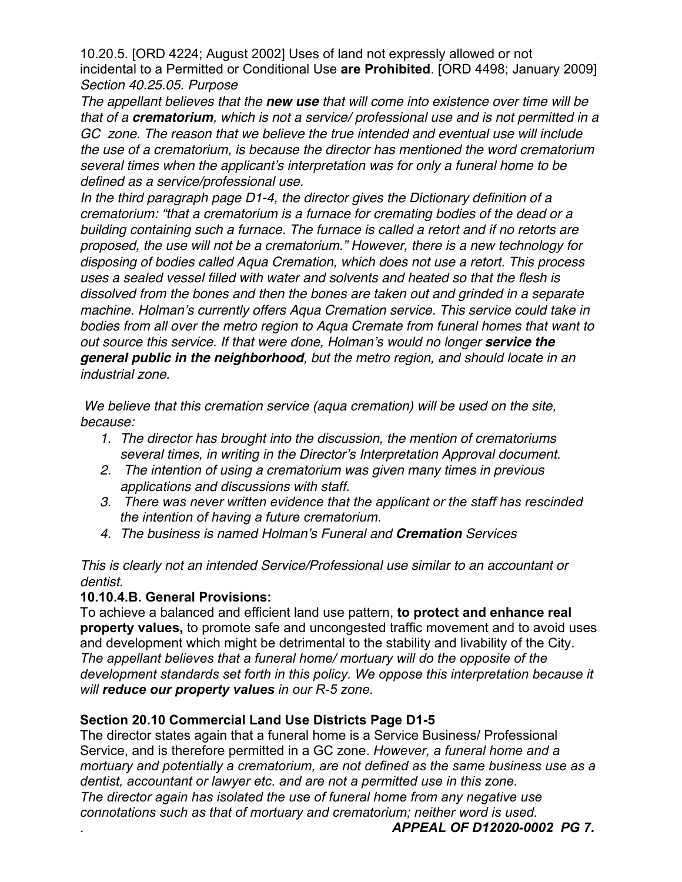10.20.5. [ORD 4224; August 2002] Uses of land not expressly allowed or not incidental to a Permitted or Conditional Use **are Prohibited**. [ORD 4498; January 2009] *Section 40.25.05. Purpose*

*The appellant believes that the new use that will come into existence over time will be that of a crematorium, which is not a service/ professional use and is not permitted in a GC zone. The reason that we believe the true intended and eventual use will include the use of a crematorium, is because the director has mentioned the word crematorium several times when the applicant's interpretation was for only a funeral home to be defined as a service/professional use.* 

*In the third paragraph page D1-4, the director gives the Dictionary definition of a crematorium: "that a crematorium is a furnace for cremating bodies of the dead or a building containing such a furnace. The furnace is called a retort and if no retorts are proposed, the use will not be a crematorium." However, there is a new technology for disposing of bodies called Aqua Cremation, which does not use a retort. This process uses a sealed vessel filled with water and solvents and heated so that the flesh is dissolved from the bones and then the bones are taken out and grinded in a separate machine. Holman's currently offers Aqua Cremation service. This service could take in bodies from all over the metro region to Aqua Cremate from funeral homes that want to out source this service. If that were done, Holman's would no longer service the general public in the neighborhood, but the metro region, and should locate in an industrial zone.* 

*We believe that this cremation service (aqua cremation) will be used on the site, because:*

- *1. The director has brought into the discussion, the mention of crematoriums several times, in writing in the Director's Interpretation Approval document.*
- *2. The intention of using a crematorium was given many times in previous applications and discussions with staff.*
- *3. There was never written evidence that the applicant or the staff has rescinded the intention of having a future crematorium.*
- *4. The business is named Holman's Funeral and Cremation Services*

*This is clearly not an intended Service/Professional use similar to an accountant or dentist.*

# **10.10.4.B. General Provisions:**

To achieve a balanced and efficient land use pattern, **to protect and enhance real property values,** to promote safe and uncongested traffic movement and to avoid uses and development which might be detrimental to the stability and livability of the City. *The appellant believes that a funeral home/ mortuary will do the opposite of the development standards set forth in this policy. We oppose this interpretation because it will reduce our property values in our R-5 zone.*

# **Section 20.10 Commercial Land Use Districts Page D1-5**

The director states again that a funeral home is a Service Business/ Professional Service, and is therefore permitted in a GC zone. *However, a funeral home and a mortuary and potentially a crematorium, are not defined as the same business use as a dentist, accountant or lawyer etc. and are not a permitted use in this zone. The director again has isolated the use of funeral home from any negative use connotations such as that of mortuary and crematorium; neither word is used.*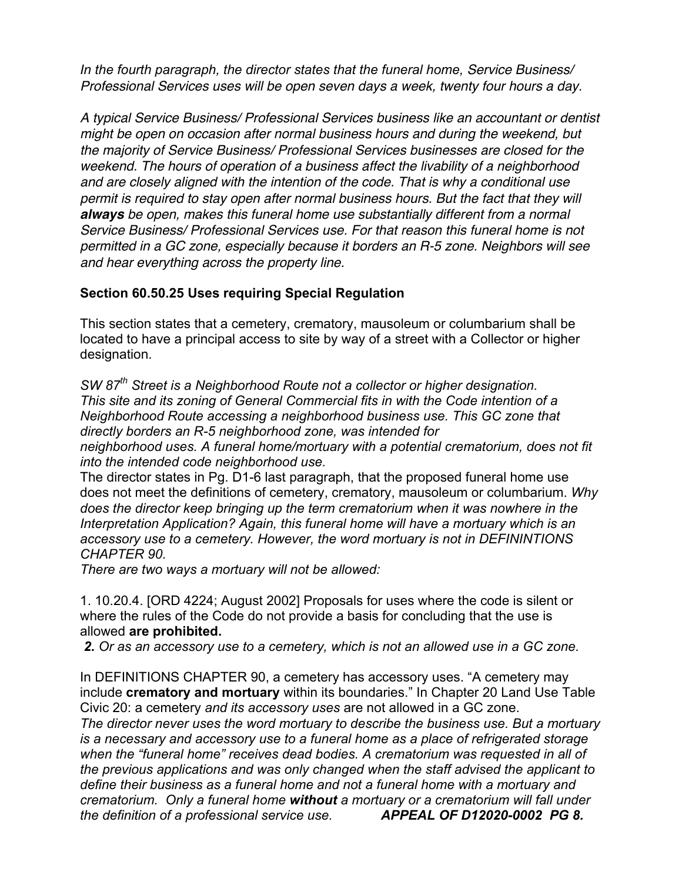*In the fourth paragraph, the director states that the funeral home, Service Business/ Professional Services uses will be open seven days a week, twenty four hours a day.*

*A typical Service Business/ Professional Services business like an accountant or dentist might be open on occasion after normal business hours and during the weekend, but the majority of Service Business/ Professional Services businesses are closed for the weekend. The hours of operation of a business affect the livability of a neighborhood and are closely aligned with the intention of the code. That is why a conditional use permit is required to stay open after normal business hours. But the fact that they will always be open, makes this funeral home use substantially different from a normal Service Business/ Professional Services use. For that reason this funeral home is not permitted in a GC zone, especially because it borders an R-5 zone. Neighbors will see and hear everything across the property line.*

### **Section 60.50.25 Uses requiring Special Regulation**

This section states that a cemetery, crematory, mausoleum or columbarium shall be located to have a principal access to site by way of a street with a Collector or higher designation.

*SW 87th Street is a Neighborhood Route not a collector or higher designation. This site and its zoning of General Commercial fits in with the Code intention of a Neighborhood Route accessing a neighborhood business use. This GC zone that directly borders an R-5 neighborhood zone, was intended for* 

*neighborhood uses. A funeral home/mortuary with a potential crematorium, does not fit into the intended code neighborhood use.*

The director states in Pg. D1-6 last paragraph, that the proposed funeral home use does not meet the definitions of cemetery, crematory, mausoleum or columbarium. *Why does the director keep bringing up the term crematorium when it was nowhere in the Interpretation Application? Again, this funeral home will have a mortuary which is an accessory use to a cemetery. However, the word mortuary is not in DEFININTIONS CHAPTER 90.* 

*There are two ways a mortuary will not be allowed:*

1. 10.20.4. [ORD 4224; August 2002] Proposals for uses where the code is silent or where the rules of the Code do not provide a basis for concluding that the use is allowed **are prohibited.** 

*2. Or as an accessory use to a cemetery, which is not an allowed use in a GC zone.*

In DEFINITIONS CHAPTER 90, a cemetery has accessory uses. "A cemetery may include **crematory and mortuary** within its boundaries." In Chapter 20 Land Use Table Civic 20: a cemetery *and its accessory uses* are not allowed in a GC zone.

*The director never uses the word mortuary to describe the business use. But a mortuary is a necessary and accessory use to a funeral home as a place of refrigerated storage when the "funeral home" receives dead bodies. A crematorium was requested in all of the previous applications and was only changed when the staff advised the applicant to define their business as a funeral home and not a funeral home with a mortuary and crematorium. Only a funeral home without a mortuary or a crematorium will fall under the definition of a professional service use.**APPEAL OF D12020-0002 PG 8.*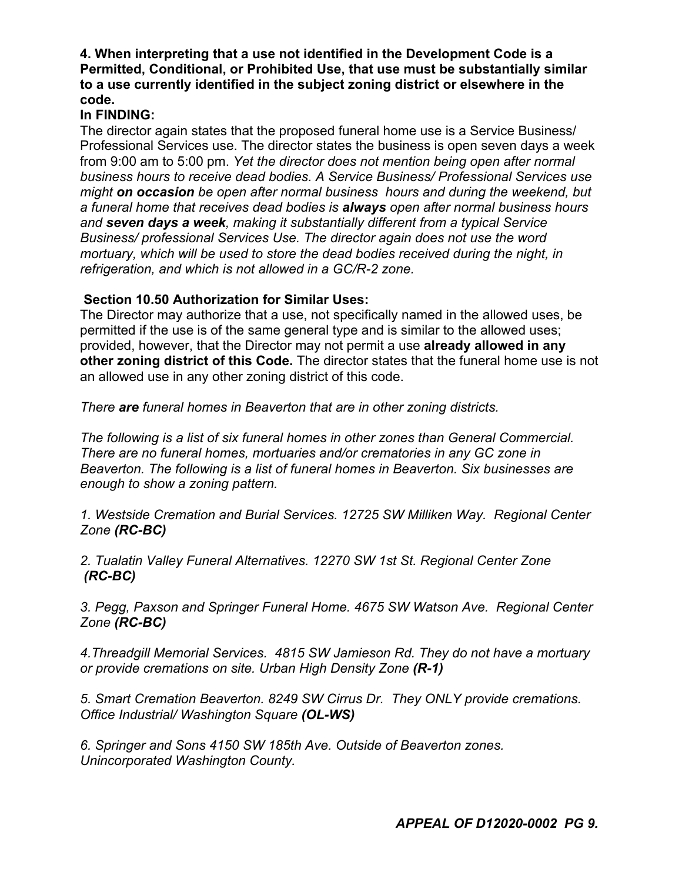### **4. When interpreting that a use not identified in the Development Code is a Permitted, Conditional, or Prohibited Use, that use must be substantially similar to a use currently identified in the subject zoning district or elsewhere in the code.**

# **In FINDING:**

The director again states that the proposed funeral home use is a Service Business/ Professional Services use. The director states the business is open seven days a week from 9:00 am to 5:00 pm. *Yet the director does not mention being open after normal business hours to receive dead bodies. A Service Business/ Professional Services use might on occasion be open after normal business hours and during the weekend, but a funeral home that receives dead bodies is always open after normal business hours and seven days a week, making it substantially different from a typical Service Business/ professional Services Use. The director again does not use the word mortuary, which will be used to store the dead bodies received during the night, in refrigeration, and which is not allowed in a GC/R-2 zone.*

# **Section 10.50 Authorization for Similar Uses:**

The Director may authorize that a use, not specifically named in the allowed uses, be permitted if the use is of the same general type and is similar to the allowed uses; provided, however, that the Director may not permit a use **already allowed in any other zoning district of this Code.** The director states that the funeral home use is not an allowed use in any other zoning district of this code.

*There are funeral homes in Beaverton that are in other zoning districts.*

*The following is a list of six funeral homes in other zones than General Commercial. There are no funeral homes, mortuaries and/or crematories in any GC zone in Beaverton. The following is a list of funeral homes in Beaverton. Six businesses are enough to show a zoning pattern.*

*1. Westside Cremation and Burial Services. 12725 SW Milliken Way. Regional Center Zone (RC-BC)*

*2. Tualatin Valley Funeral Alternatives. 12270 SW 1st St. Regional Center Zone (RC-BC)*

*3. Pegg, Paxson and Springer Funeral Home. 4675 SW Watson Ave. Regional Center Zone (RC-BC)*

*4.Threadgill Memorial Services. 4815 SW Jamieson Rd. They do not have a mortuary or provide cremations on site. Urban High Density Zone (R-1)*

*5. Smart Cremation Beaverton. 8249 SW Cirrus Dr. They ONLY provide cremations. Office Industrial/ Washington Square (OL-WS)*

*6. Springer and Sons 4150 SW 185th Ave. Outside of Beaverton zones. Unincorporated Washington County.*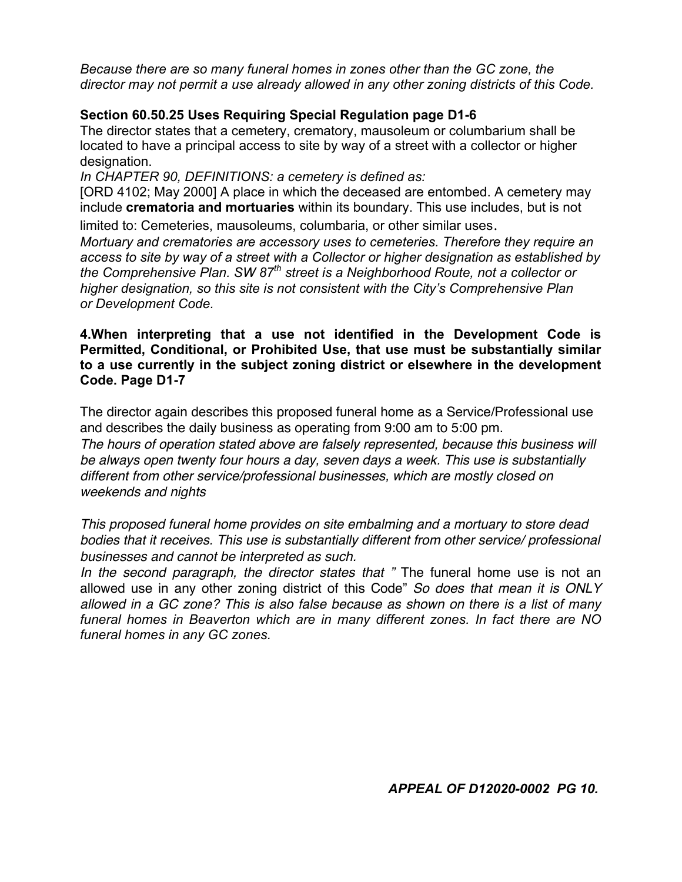*Because there are so many funeral homes in zones other than the GC zone, the director may not permit a use already allowed in any other zoning districts of this Code.*

# **Section 60.50.25 Uses Requiring Special Regulation page D1-6**

The director states that a cemetery, crematory, mausoleum or columbarium shall be located to have a principal access to site by way of a street with a collector or higher designation.

*In CHAPTER 90, DEFINITIONS: a cemetery is defined as:*

[ORD 4102; May 2000] A place in which the deceased are entombed. A cemetery may include **crematoria and mortuaries** within its boundary. This use includes, but is not limited to: Cemeteries, mausoleums, columbaria, or other similar uses.

*Mortuary and crematories are accessory uses to cemeteries. Therefore they require an access to site by way of a street with a Collector or higher designation as established by the Comprehensive Plan. SW 87th street is a Neighborhood Route, not a collector or higher designation, so this site is not consistent with the City's Comprehensive Plan or Development Code.*

#### **4.When interpreting that a use not identified in the Development Code is Permitted, Conditional, or Prohibited Use, that use must be substantially similar to a use currently in the subject zoning district or elsewhere in the development Code. Page D1-7**

The director again describes this proposed funeral home as a Service/Professional use and describes the daily business as operating from 9:00 am to 5:00 pm.

*The hours of operation stated above are falsely represented, because this business will be always open twenty four hours a day, seven days a week. This use is substantially different from other service/professional businesses, which are mostly closed on weekends and nights*

*This proposed funeral home provides on site embalming and a mortuary to store dead bodies that it receives. This use is substantially different from other service/ professional businesses and cannot be interpreted as such.*

*In the second paragraph, the director states that "* The funeral home use is not an allowed use in any other zoning district of this Code" *So does that mean it is ONLY allowed in a GC zone? This is also false because as shown on there is a list of many funeral homes in Beaverton which are in many different zones. In fact there are NO funeral homes in any GC zones.*